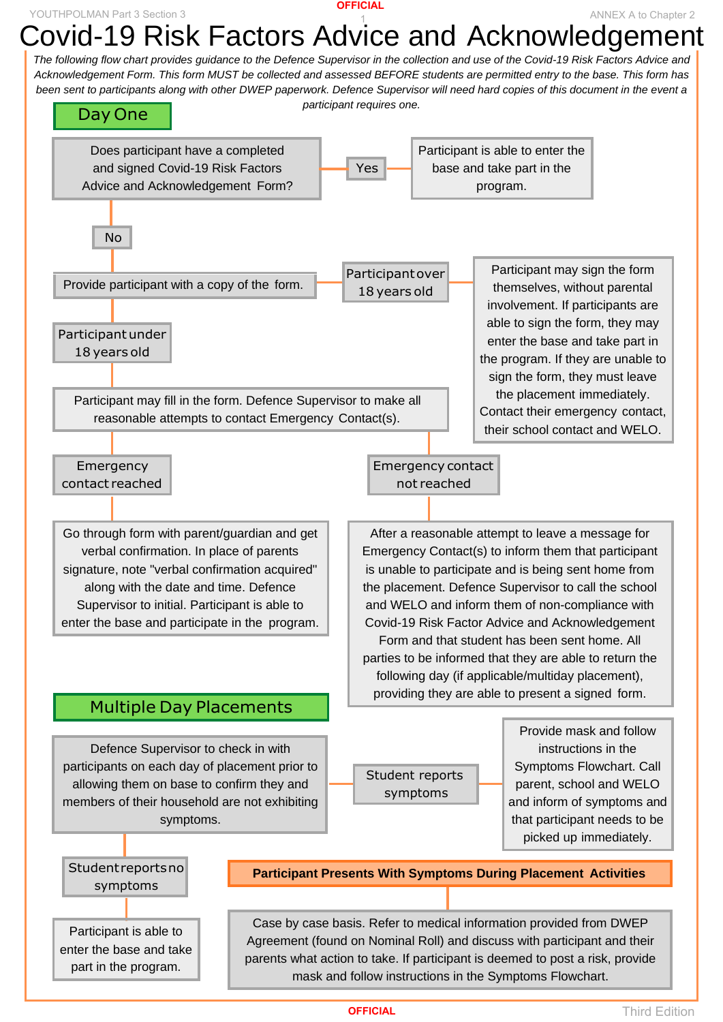## **Participant Presents With Symptoms During Placement Activities**

# Covid-19 Risk Factors Advice and Acknowledgement YOUTHPOLMAN Part 3 Section 3 Annex A to Chapter 2

Case by case basis. Refer to medical information provided from DWEP Agreement (found on Nominal Roll) and discuss with participant and their parents what action to take. If participant is deemed to post a risk, provide mask and follow instructions in the Symptoms Flowchart.

Participant is able to enter the base and take part in the program.

*The following flow chart provides guidance to the Defence Supervisor in the collection and use of the Covid-19 Risk Factors Advice and Acknowledgement Form. This form MUST be collected and assessed BEFORE students are permitted entry to the base. This form has been sent to participants along with other DWEP paperwork. Defence Supervisor will need hard copies of this document in the event a participant requires one.*

> Student reports symptoms

## Does participant have a completed and signed Covid-19 Risk Factors Advice and Acknowledgement Form? Yes Participant is able to enter the base and take part in the program. Emergency contact reached Emergency contact not reached Participant may fill in the form. Defence Supervisor to make all reasonable attempts to contact Emergency Contact(s). Participant under 18 years old After a reasonable attempt to leave a message for Emergency Contact(s) to inform them that participant is unable to participate and is being sent home from Go through form with parent/guardian and get verbal confirmation. In place of parents signature, note "verbal confirmation acquired" Participant over 18 years old Participant may sign the form themselves, without parental involvement. If participants are able to sign the form, they may enter the base and take part in the program. If they are unable to sign the form, they must leave the placement immediately. Contact their emergency contact, their school contact and WELO. Day One No Provide participant with a copy of the form.

Provide mask and follow instructions in the Symptoms Flowchart. Call parent, school and WELO and inform of symptoms and that participant needs to be picked up immediately.

## Multiple Day Placements

the placement. Defence Supervisor to call the school and WELO and inform them of non-compliance with Covid-19 Risk Factor Advice and Acknowledgement Form and that student has been sent home. All parties to be informed that they are able to return the following day (if applicable/multiday placement), providing they are able to present a signed form.

along with the date and time. Defence Supervisor to initial. Participant is able to enter the base and participate in the program.

Defence Supervisor to check in with participants on each day of placement prior to allowing them on base to confirm they and members of their household are not exhibiting symptoms.

Studentreportsno symptoms

**OFFICIAL**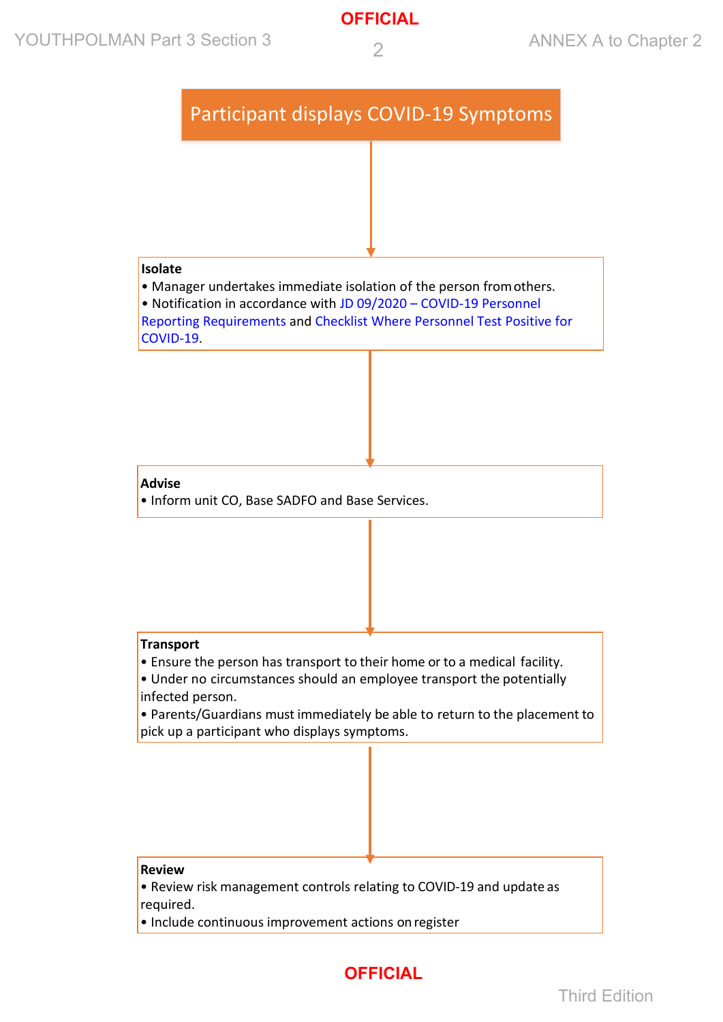## YOUTHPOLMAN Part 3 Section 3  $\overline{2}$  Annex A to Chapter 2



**OFFICIAL**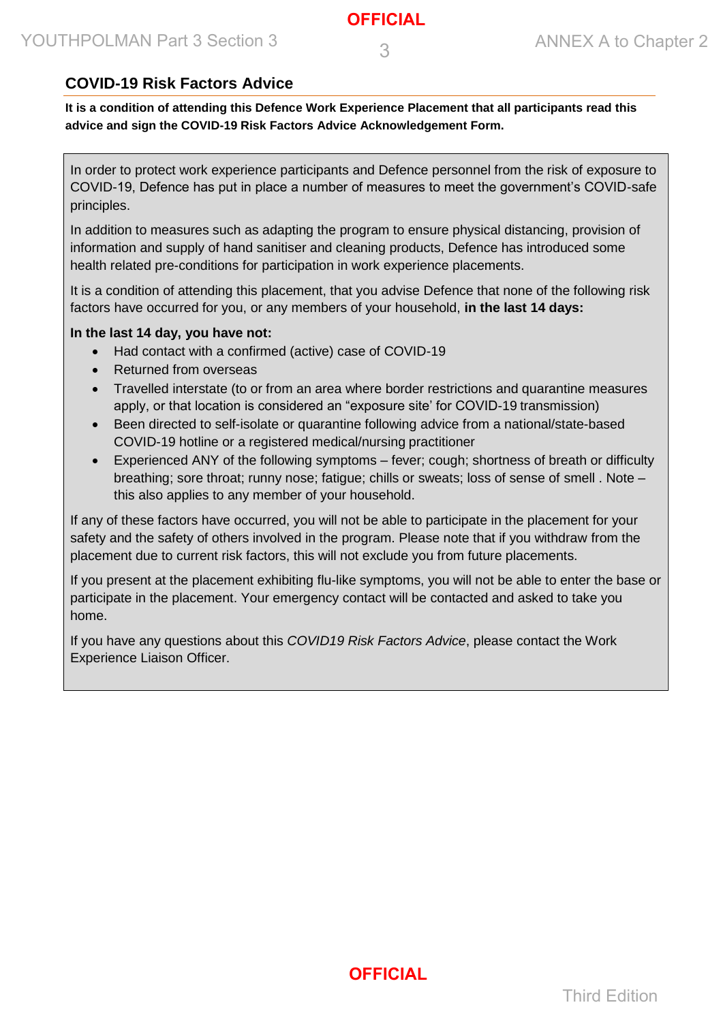#### **COVID-19 Risk Factors Advice**

**It is a condition of attending this Defence Work Experience Placement that all participants read this advice and sign the COVID-19 Risk Factors Advice Acknowledgement Form.**

In order to protect work experience participants and Defence personnel from the risk of exposure to COVID-19, Defence has put in place a number of measures to meet the government's COVID-safe principles.

In addition to measures such as adapting the program to ensure physical distancing, provision of information and supply of hand sanitiser and cleaning products, Defence has introduced some health related pre-conditions for participation in work experience placements.

It is a condition of attending this placement, that you advise Defence that none of the following risk factors have occurred for you, or any members of your household, **in the last 14 days:**

#### **In the last 14 day, you have not:**

- Had contact with a confirmed (active) case of COVID-19
- Returned from overseas
- Travelled interstate (to or from an area where border restrictions and quarantine measures apply, or that location is considered an "exposure site' for COVID-19 transmission)
- Been directed to self-isolate or quarantine following advice from a national/state-based COVID-19 hotline or a registered medical/nursing practitioner
- Experienced ANY of the following symptoms fever; cough; shortness of breath or difficulty breathing; sore throat; runny nose; fatigue; chills or sweats; loss of sense of smell . Note – this also applies to any member of your household.

If any of these factors have occurred, you will not be able to participate in the placement for your safety and the safety of others involved in the program. Please note that if you withdraw from the placement due to current risk factors, this will not exclude you from future placements.

If you present at the placement exhibiting flu-like symptoms, you will not be able to enter the base or participate in the placement. Your emergency contact will be contacted and asked to take you home.

If you have any questions about this *COVID19 Risk Factors Advice*, please contact the Work Experience Liaison Officer.



Third Edition